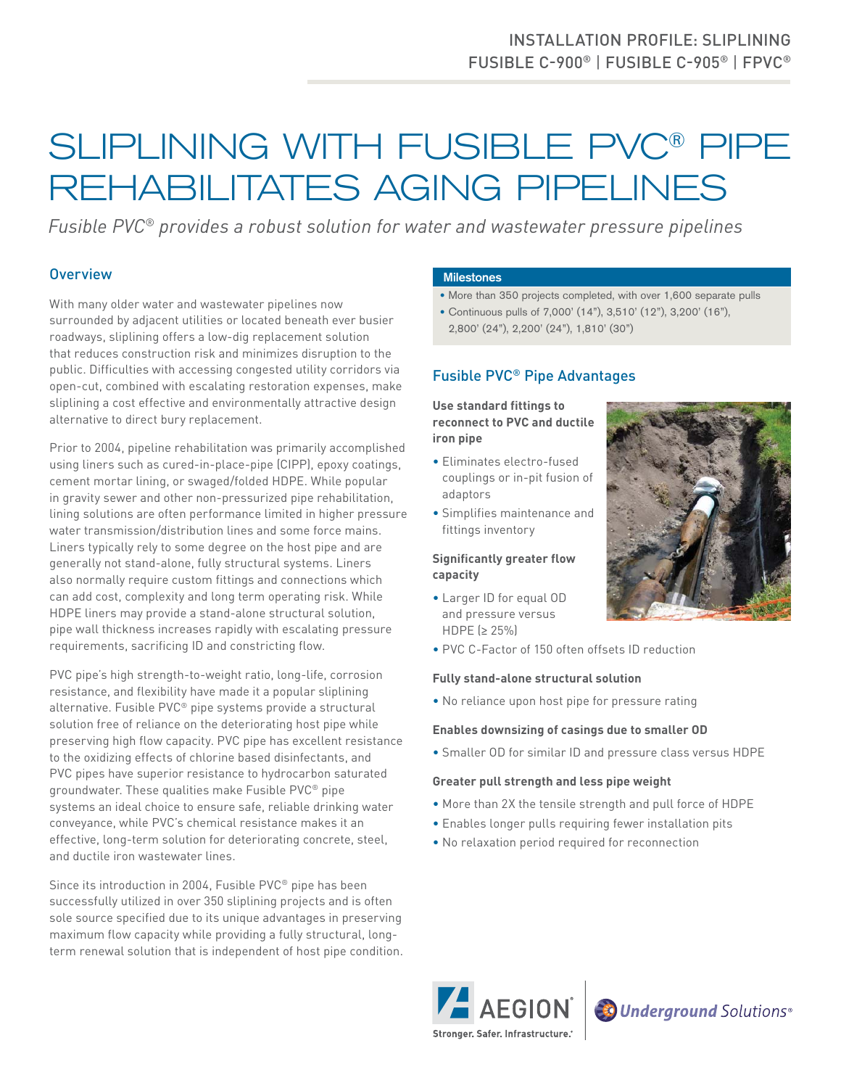# INSTALLATION PROFILE: SLIPLINING FUSIBLE C-900® | FUSIBLE C-905® | FPVC®

# SLIPLINING WITH FUSIBLE PVC® PIPE REHABILITATES AGING PIPELINES

*Fusible PVC® provides a robust solution for water and wastewater pressure pipelines*

## **Overview**

With many older water and wastewater pipelines now surrounded by adjacent utilities or located beneath ever busier roadways, sliplining offers a low-dig replacement solution that reduces construction risk and minimizes disruption to the public. Difficulties with accessing congested utility corridors via open-cut, combined with escalating restoration expenses, make sliplining a cost effective and environmentally attractive design alternative to direct bury replacement.

Prior to 2004, pipeline rehabilitation was primarily accomplished using liners such as cured-in-place-pipe (CIPP), epoxy coatings, cement mortar lining, or swaged/folded HDPE. While popular in gravity sewer and other non-pressurized pipe rehabilitation, lining solutions are often performance limited in higher pressure water transmission/distribution lines and some force mains. Liners typically rely to some degree on the host pipe and are generally not stand-alone, fully structural systems. Liners also normally require custom fittings and connections which can add cost, complexity and long term operating risk. While HDPE liners may provide a stand-alone structural solution, pipe wall thickness increases rapidly with escalating pressure requirements, sacrificing ID and constricting flow.

PVC pipe's high strength-to-weight ratio, long-life, corrosion resistance, and flexibility have made it a popular sliplining alternative. Fusible PVC® pipe systems provide a structural solution free of reliance on the deteriorating host pipe while preserving high flow capacity. PVC pipe has excellent resistance to the oxidizing effects of chlorine based disinfectants, and PVC pipes have superior resistance to hydrocarbon saturated groundwater. These qualities make Fusible PVC® pipe systems an ideal choice to ensure safe, reliable drinking water conveyance, while PVC's chemical resistance makes it an effective, long-term solution for deteriorating concrete, steel, and ductile iron wastewater lines.

Since its introduction in 2004, Fusible PVC® pipe has been successfully utilized in over 350 sliplining projects and is often sole source specified due to its unique advantages in preserving maximum flow capacity while providing a fully structural, longterm renewal solution that is independent of host pipe condition.

#### **Milestones**

- More than 350 projects completed, with over 1,600 separate pulls
- Continuous pulls of 7,000' (14"), 3,510' (12"), 3,200' (16"),
- 2,800' (24"), 2,200' (24"), 1,810' (30")

### Fusible PVC® Pipe Advantages

**Use standard fittings to reconnect to PVC and ductile iron pipe**

- Eliminates electro-fused couplings or in-pit fusion of adaptors
- Simplifies maintenance and fittings inventory

#### **Significantly greater flow capacity**

- Larger ID for equal OD and pressure versus HDPE (≥ 25%)
- PVC C-Factor of 150 often offsets ID reduction

#### **Fully stand-alone structural solution**

• No reliance upon host pipe for pressure rating

#### **Enables downsizing of casings due to smaller OD**

• Smaller OD for similar ID and pressure class versus HDPE

#### **Greater pull strength and less pipe weight**

- More than 2X the tensile strength and pull force of HDPE
- Enables longer pulls requiring fewer installation pits
- No relaxation period required for reconnection